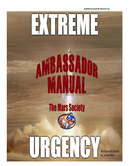*AMBASSADOR MANUAL*

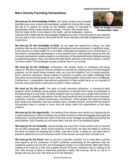#### *AMBASSADOR MANUAL*

# **Mars Society Founding Declarations**

*We must go for the knowledge of Mars.* Our robotic probes have revealed that Mars was once a warm and wet planet, suitable for hosting life's origin. But did it? A search for fossils on the Martian surface or microbes in groundwater below could provide the answer. If found, they would show that the origin of life is not unique to the Earth, and by implication, reveal a



Click on image to access Ambassador video

universe that is filled with life and probably intelligence as well. From the point of view learning our true place in the universe, this would be the most important scientific enlightenment since Copernicus.

*We must go for the knowledge of Earth.* As we begin the twenty-first century, we have evidence that we are changing the Earth's atmosphere and environment in significant ways. It has become a critical matter for us to better understand all aspects of our environment. In this project, comparative planetology is a very powerful tool, a fact already shown by the role Venusian atmospheric studies played in our discovery of the potential threat of global warming by greenhouse gases. Mars, the planet most like Earth, will have even more to teach us about our home world. The knowledge we gain could be key to our survival.

*We must go for the challenge.* Civilizations, like people, thrive on challenge and decay without it. The time is past for human societies to use war as a driving stress for technological progress. As the world moves towards unity, we must join together, not in mutual passivity, but in common enterprise, facing outward to embrace a greater and nobler challenge than that which we previously posed to each other. Pioneering Mars will provide such a challenge. Furthermore, a cooperative international exploration of Mars would serve as an example of how the same joint action could work on Earth in other ventures.

*We must go for the youth.* The spirit of youth demands adventure. A Humans-to-Mars program would challenge young people everywhere to develop their minds to participate in the pioneering of a new world. If a Mars program were to inspire just a single extra percent of today's youth to scientific educations, the net result would be tens of millions more scientists, engineers, inventors, medical researchers, and doctors. These people will make innovations that create new industries, find new medical cures, increase income, and benefit the world in innumerable ways to provide a return that will utterly dwarf the expenditures of the Mars program.

*We must go* **f***or the opportunity.* The settling of the *Martian New World* is an opportunity for a noble experiment in which humanity has another chance to shed old baggage and begin the world anew; carrying forward as much of the best of our heritage as possible and leaving the worst behind. Such chances do not come often, and are not to be disdained lightly.

*We must go for our humanity.* Human beings are more than merely another kind of animal; we are life's messenger. Alone of the creatures of the Earth, we have the ability to continue the work of creation by bringing life to Mars, and Mars to life. In doing so, we shall make a profound statement as to the precious worth of the human race and every member of it.

*We must go for the future.* Mars is not just a scientific curiosity; it is a world with a surface area equal to all the continents of Earth combined, possessing all the elements that are needed to support not only life, but technological society. It is a New World, filled with history waiting to be made by a new and youthful branch of human civilization that is waiting to be born. We must go to Mars to make that potential a reality. We must go, not for us, but for a people who are yet to be. We must do it for the Martians.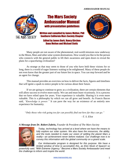

Many people are not aware of the phenomenal, real-world missions now underway to the Moon, Mars and other solar system destinations. How would you like to be the person who connects with the general public to lift their awareness and open doors to reveal the plans for a spacefaring civilization?

As strange as that may seem to those of you who have held these visions for so long, there is a world of eager listeners waiting to be enlightened. Many of these people do not even know that the greater part of our future lies in space. You can step forward and be an agent for change.

This manual provides an overview on how to deliver the facts, figures and timelines that will ignite a spark to entice people to be curious about their future.

If we are going to continue to grow as a civilization, there are certain elements that will allow success to evolve more easily. We can and must learn vicariously. It is a process that we have relied upon for years. Your experience is valuable. Sharing it is even more valuable. This is a philosophy by which we can all grow and benefit. As Francis Bacon said, *"Knowledge is power."* It can pave the way for an existence of an entirely new experience for humanity.

*"Only those who risk going too far can possibly find out how far they can go." –T. S. Eliot*

### *A Message from Dr. Robert Zubrin, Founder & President of The Mars Society*



 *Today, technology has arrived at a level where we have the means to fully explore our solar system. We also have the resources, the ability, and the tools needed to make our vision of settling the planet Mars a reality—an achievement never before realized. Our challenge now is to convey this information with the global community on a grand scale.*

 *Our Ambassador program is designed for this purpose. We have a limited window of time to accomplish this, as Elon Musk of SpaceX so* 

*powerfully said, "With Extreme Urgency." Become a Mars Society Ambassador and meet the challenge to inform and inspire the world.*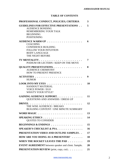## **TABLE OF CONTENTS**

| PROFESSIONAL CONDUCT, POLICIES, CRITERIA                                                                                                      | 3  |
|-----------------------------------------------------------------------------------------------------------------------------------------------|----|
| <b>GUIDELINES FOR EFFECTIVE PRESENTATIONS</b><br><b>AUDIENCE BONDING</b><br>REMEMBERING YOUR TALK<br><b>BEGINNING</b><br><b>POSITIONING</b>   | 5  |
| AUDIENCE WARM-UP<br><b>COACHING</b><br><b>CONFIDENCE BUILDING</b><br><b>FOLLOW YOUR INTUITION</b><br><b>BODY LANGUAGE</b><br>THE NIGHT BEFORE | 6  |
| TV MENTALITY<br>PODIUM OR LECTERN / KEEP ON THE MOVE                                                                                          | 7  |
| <b>QUALITY PRESENTATIONS.</b><br><b>AUDIENCE CHEMISTRY</b><br><b>HOW TO PRESENT PRESENCE</b>                                                  | 8  |
| <b>HUMOR</b>                                                                                                                                  | 9  |
| <b>HANDOUT MATERIAL</b><br><b>VOICE POWER / EGO</b><br><b>WHAT'S YOUR STYLE?</b>                                                              | 10 |
| GAINING AUDIENCE SUPPORT.<br>QUESTIONS AND ANSWERS / DRESS UP                                                                                 | 11 |
| DRIVEL $\ldots$<br>THE WISE AUDIENCE / BREAKS<br><b>BUILDING CONTENT / ONE MINUTE SUMMARY</b>                                                 | 12 |
| <b>WORD MAGIC</b>                                                                                                                             | 13 |
| <b>QUOTES TO CONSIDER</b>                                                                                                                     | 14 |
| BEGINNINGS & ENDINGS                                                                                                                          | 15 |
| SPEAKER'S CHECKLIST & PSA.                                                                                                                    | 16 |
| PRESENTATION VIDEO AND OUTLINE SAMPLES                                                                                                        | 17 |
| HOW ARE YOU DOING AS A PRESENTER?                                                                                                             | 18 |
| WHEN THE ROCKET LEAVES THE PAD                                                                                                                | 19 |
| <b>EVENT AGREEMENT</b> between speaker and client. Sample.                                                                                    | 20 |
| PRESENTATION REVIEW (print, copy, cut)                                                                                                        | 21 |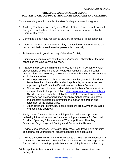### **THE MARS SOCIETY AMBASSADOR PROFESSIONAL CONDUCT, PROCEDURES, POLICIES AND CRITERIA**

Those intending to hold the title of a Mars Society Ambassador agree to:

- 1. Abide by The Mars Society Bylaws, Code of Ethics, Professional Conduct, Policy and such other policies or procedures as may be adopted by the Board of Directors.
- 2. Commit to a one-year, January to January, renewable Ambassador title.
- 3. Attend a minimum of one Mars Society Convention or agree to attend the next scheduled convention either personally or virtually.
- 4. Active member in good standing of the Mars Society.
- 5. Submit a minimum of one "track-session" proposal (Abstract) for the next scheduled Mars Society Convention.
- 6. Arrange and present a minimum of three, 30 minute, in-person or virtual presentations on Mars topics per year, with validation. Live personal presentations are preferred, however a Zoom or other virtual presentations would be acceptable.
	- Prior to presentation, submit a program overview, including handouts, PowerPoint file, video and/or audio, if applicable, to be reviewed and approved by the Education Department of the Mars Society.
	- The mission and Humans to Mars vision of the Mars Society must be incorporated into the presentation: https://www.marssociety.org/about/ **About:** The Mars Society, established in 1998, is a worldwide spaceadvocacy non-profit organization driven by management, volunteers and chapters dedicated to promoting the human exploration and settlement of the planet Mars.
	- Other options for community-based exposure are always encouraged and subject to approval.
- 7. Study the *Ambassador Manual* which provides valuable support in delivering information to an audience including a speaker's Professional Conduct, Speaking Ethics, Audience Warm-up, Humor, Handling Questions, Beginnings and Endings and Presentation Review.
- 8. Review video provided, *Why Mars? Why Now?* with PowerPoint graphics as a format for your personal presentation use and adaptation.
- 9. Provide an audience review after each talk to the Mars Society educational committee. A Presentation Review form is located on the last page of the Ambassador's Manual. (Any talk that is worth giving is worth reviewing.)
- 10.Accept the Ambassadorship as a volunteer position unless otherwise arranged.